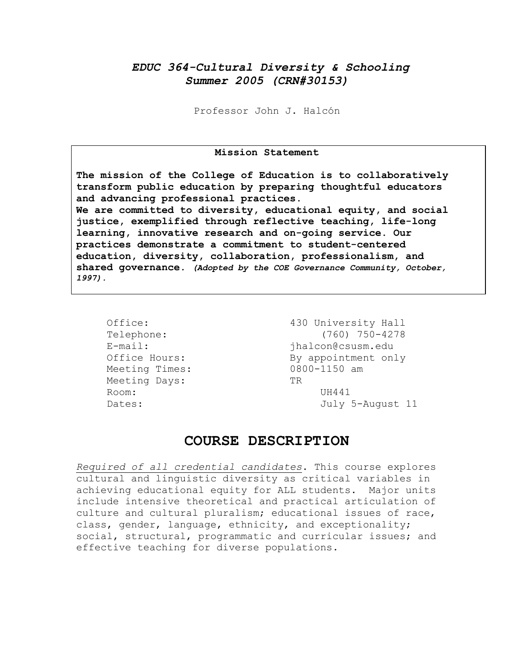# *EDUC 364-Cultural Diversity & Schooling Summer 2005 (CRN#30153)*

Professor John J. Halcón

### **Mission Statement**

**The mission of the College of Education is to collaboratively transform public education by preparing thoughtful educators and advancing professional practices. We are committed to diversity, educational equity, and social justice, exemplified through reflective teaching, life-long learning, innovative research and on-going service. Our practices demonstrate a commitment to student-centered education, diversity, collaboration, professionalism, and shared governance.** *(Adopted by the COE Governance Community, October, 1997).* 

Meeting Times: 0800-1150 am Meeting Days: TR Room: UH441

Office: 430 University Hall Telephone: (760) 750-4278<br>E-mail: ihalcon@csusm.edu E-mail: jhalcon@csusm.edu Office Hours: By appointment only Dates: July 5-August 11

## **COURSE DESCRIPTION**

*Required of all credential candidates*. This course explores cultural and linguistic diversity as critical variables in achieving educational equity for ALL students. Major units include intensive theoretical and practical articulation of culture and cultural pluralism; educational issues of race, class, gender, language, ethnicity, and exceptionality; social, structural, programmatic and curricular issues; and effective teaching for diverse populations.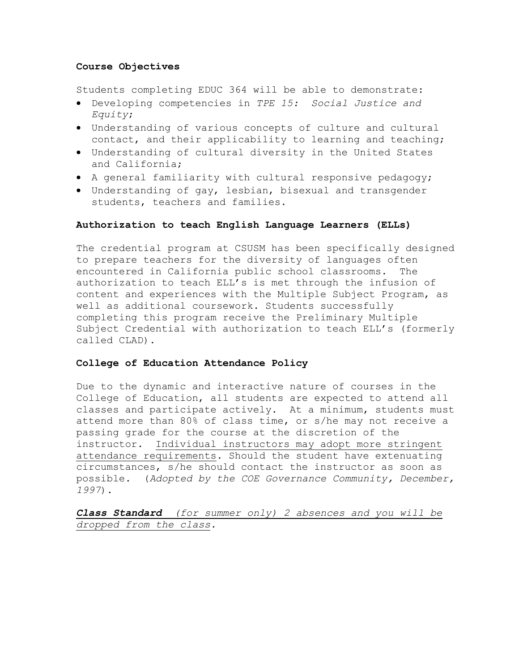### **Course Objectives**

Students completing EDUC 364 will be able to demonstrate:

- Developing competencies in *TPE 15: Social Justice and Equity*;
- Understanding of various concepts of culture and cultural contact, and their applicability to learning and teaching;
- Understanding of cultural diversity in the United States and California;
- A general familiarity with cultural responsive pedagogy;
- Understanding of gay, lesbian, bisexual and transgender students, teachers and families.

### **Authorization to teach English Language Learners (ELLs)**

The credential program at CSUSM has been specifically designed to prepare teachers for the diversity of languages often encountered in California public school classrooms. The authorization to teach ELL's is met through the infusion of content and experiences with the Multiple Subject Program, as well as additional coursework. Students successfully completing this program receive the Preliminary Multiple Subject Credential with authorization to teach ELL's (formerly called CLAD).

### **College of Education Attendance Policy**

Due to the dynamic and interactive nature of courses in the College of Education, all students are expected to attend all classes and participate actively. At a minimum, students must attend more than 80% of class time, or s/he may not receive a passing grade for the course at the discretion of the instructor. Individual instructors may adopt more stringent attendance requirements. Should the student have extenuating circumstances, s/he should contact the instructor as soon as possible. (*Adopted by the COE Governance Community, December, 1997*).

*Class Standard (for summer only) 2 absences and you will be dropped from the class.*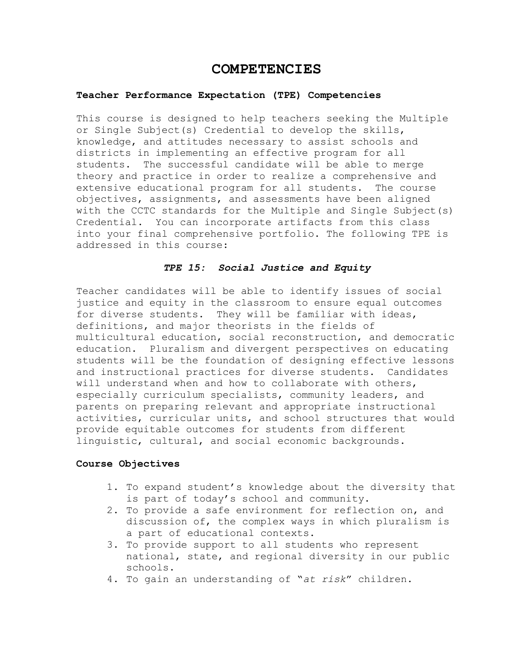# **COMPETENCIES**

### **Teacher Performance Expectation (TPE) Competencies**

This course is designed to help teachers seeking the Multiple or Single Subject(s) Credential to develop the skills, knowledge, and attitudes necessary to assist schools and districts in implementing an effective program for all students. The successful candidate will be able to merge theory and practice in order to realize a comprehensive and extensive educational program for all students. The course objectives, assignments, and assessments have been aligned with the CCTC standards for the Multiple and Single Subject(s) Credential. You can incorporate artifacts from this class into your final comprehensive portfolio. The following TPE is addressed in this course:

### *TPE 15: Social Justice and Equity*

Teacher candidates will be able to identify issues of social justice and equity in the classroom to ensure equal outcomes for diverse students. They will be familiar with ideas, definitions, and major theorists in the fields of multicultural education, social reconstruction, and democratic education. Pluralism and divergent perspectives on educating students will be the foundation of designing effective lessons and instructional practices for diverse students. Candidates will understand when and how to collaborate with others, especially curriculum specialists, community leaders, and parents on preparing relevant and appropriate instructional activities, curricular units, and school structures that would provide equitable outcomes for students from different linguistic, cultural, and social economic backgrounds.

### **Course Objectives**

- 1. To expand student's knowledge about the diversity that is part of today's school and community.
- 2. To provide a safe environment for reflection on, and discussion of, the complex ways in which pluralism is a part of educational contexts.
- 3. To provide support to all students who represent national, state, and regional diversity in our public schools.
- 4. To gain an understanding of "*at risk*" children.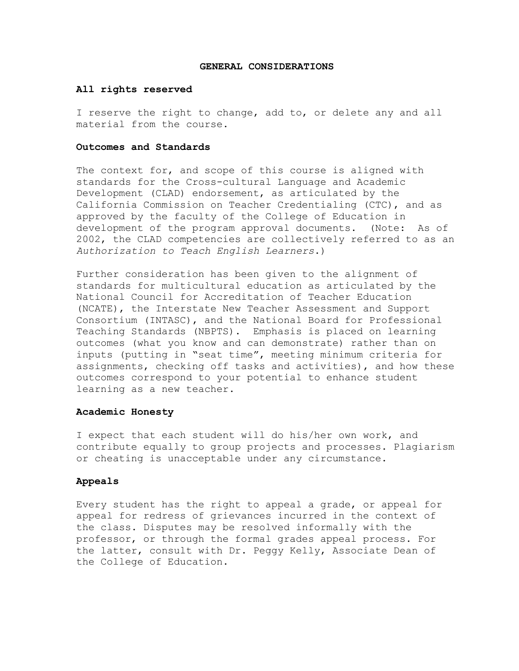### **GENERAL CONSIDERATIONS**

### **All rights reserved**

I reserve the right to change, add to, or delete any and all material from the course.

### **Outcomes and Standards**

The context for, and scope of this course is aligned with standards for the Cross-cultural Language and Academic Development (CLAD) endorsement, as articulated by the California Commission on Teacher Credentialing (CTC), and as approved by the faculty of the College of Education in development of the program approval documents. (Note: As of 2002, the CLAD competencies are collectively referred to as an *Authorization to Teach English Learners*.)

Further consideration has been given to the alignment of standards for multicultural education as articulated by the National Council for Accreditation of Teacher Education (NCATE), the Interstate New Teacher Assessment and Support Consortium (INTASC), and the National Board for Professional Teaching Standards (NBPTS). Emphasis is placed on learning outcomes (what you know and can demonstrate) rather than on inputs (putting in "seat time", meeting minimum criteria for assignments, checking off tasks and activities), and how these outcomes correspond to your potential to enhance student learning as a new teacher.

### **Academic Honesty**

I expect that each student will do his/her own work, and contribute equally to group projects and processes. Plagiarism or cheating is unacceptable under any circumstance.

### **Appeals**

Every student has the right to appeal a grade, or appeal for appeal for redress of grievances incurred in the context of the class. Disputes may be resolved informally with the professor, or through the formal grades appeal process. For the latter, consult with Dr. Peggy Kelly, Associate Dean of the College of Education.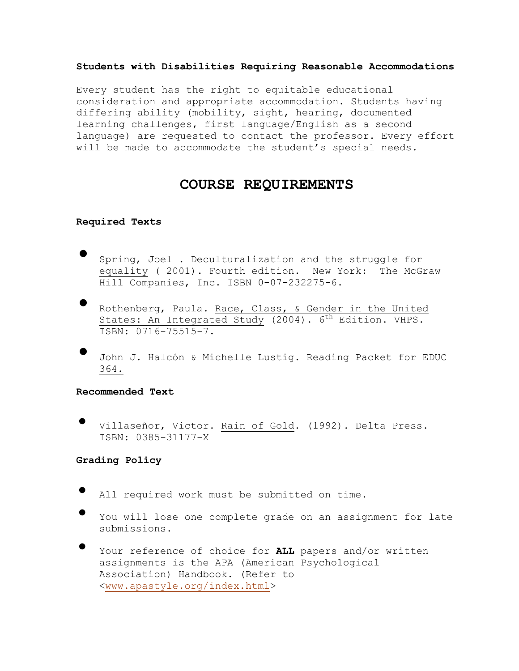### **Students with Disabilities Requiring Reasonable Accommodations**

Every student has the right to equitable educational consideration and appropriate accommodation. Students having differing ability (mobility, sight, hearing, documented learning challenges, first language/English as a second language) are requested to contact the professor. Every effort will be made to accommodate the student's special needs.

# **COURSE REQUIREMENTS**

### **Required Texts**

- Spring, Joel . Deculturalization and the struggle for equality ( 2001). Fourth edition. New York: The McGraw Hill Companies, Inc. ISBN 0-07-232275-6.
- Rothenberg, Paula. Race, Class, & Gender in the United States: An Integrated Study (2004). 6<sup>th</sup> Edition. VHPS. ISBN: 0716-75515-7.
- John J. Halcón & Michelle Lustig. Reading Packet for EDUC 364.

**Recommended Text** 

• Villaseñor, Victor. Rain of Gold. (1992). Delta Press. ISBN: 0385-31177-X

**Grading Policy** 

- All required work must be submitted on time.
- You will lose one complete grade on an assignment for late submissions.
- Your reference of choice for **ALL** papers and/or written assignments is the APA (American Psychological Association) Handbook. (Refer to <www.apastyle.org/index.html>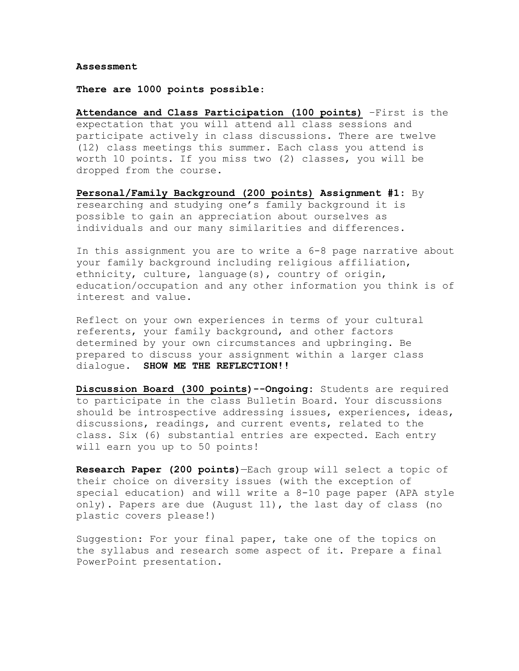#### **Assessment**

### **There are 1000 points possible**:

**Attendance and Class Participation (100 points)** –First is the expectation that you will attend all class sessions and participate actively in class discussions. There are twelve (12) class meetings this summer. Each class you attend is worth 10 points. If you miss two (2) classes, you will be dropped from the course.

**Personal/Family Background (200 points) Assignment #1:** By researching and studying one's family background it is possible to gain an appreciation about ourselves as individuals and our many similarities and differences.

In this assignment you are to write a 6-8 page narrative about your family background including religious affiliation, ethnicity, culture, language(s), country of origin, education/occupation and any other information you think is of interest and value.

Reflect on your own experiences in terms of your cultural referents, your family background, and other factors determined by your own circumstances and upbringing. Be prepared to discuss your assignment within a larger class dialogue. **SHOW ME THE REFLECTION!!** 

**Discussion Board (300 points)--Ongoing:** Students are required to participate in the class Bulletin Board. Your discussions should be introspective addressing issues, experiences, ideas, discussions, readings, and current events, related to the class. Six (6) substantial entries are expected. Each entry will earn you up to 50 points!

**Research Paper (200 points)**—Each group will select a topic of their choice on diversity issues (with the exception of special education) and will write a 8-10 page paper (APA style only). Papers are due (August 11), the last day of class (no plastic covers please!)

Suggestion: For your final paper, take one of the topics on the syllabus and research some aspect of it. Prepare a final PowerPoint presentation.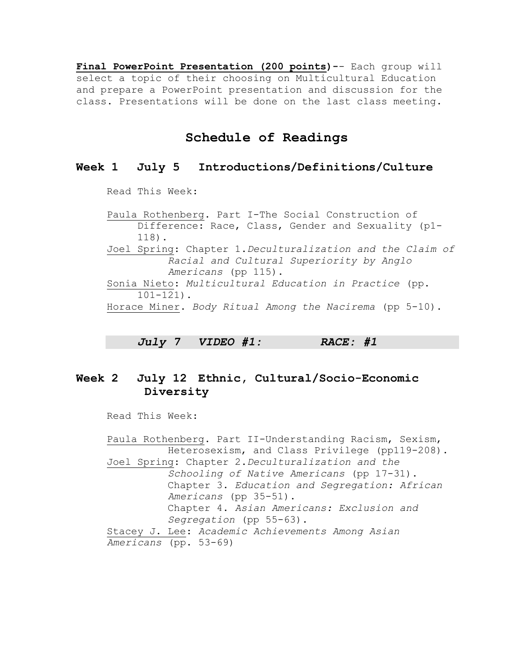**Final PowerPoint Presentation (200 points)-**- Each group will select a topic of their choosing on Multicultural Education and prepare a PowerPoint presentation and discussion for the class. Presentations will be done on the last class meeting.

# **Schedule of Readings**

## **Week 1 July 5 Introductions/Definitions/Culture**

Read This Week:

Paula Rothenberg. Part I-The Social Construction of Difference: Race, Class, Gender and Sexuality (p1- 118). Joel Spring: Chapter 1.*Deculturalization and the Claim of Racial and Cultural Superiority by Anglo Americans* (pp 115). Sonia Nieto: *Multicultural Education in Practice* (pp. 101-121). Horace Miner. *Body Ritual Among the Nacirema* (pp 5-10).

*July 7 VIDEO #1: RACE: #1* 

# **Week 2 July 12 Ethnic, Cultural/Socio-Economic Diversity**

Read This Week:

Paula Rothenberg. Part II-Understanding Racism, Sexism, Heterosexism, and Class Privilege (pp119-208). Joel Spring: Chapter 2.*Deculturalization and the Schooling of Native Americans* (pp 17-31). Chapter 3. *Education and Segregation: African Americans* (pp 35-51). Chapter 4. *Asian Americans: Exclusion and Segregation* (pp 55-63). Stacey J. Lee: *Academic Achievements Among Asian Americans* (pp. 53-69)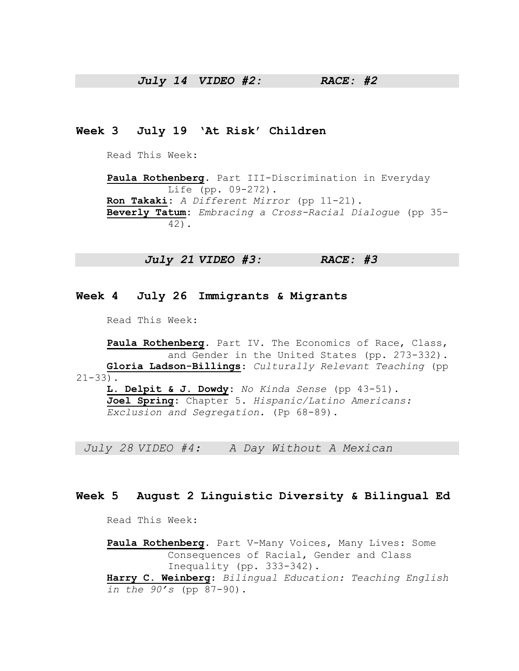## *July 14 VIDEO #2: RACE: #2*

## **Week 3 July 19 'At Risk' Children**

Read This Week:

**Paula Rothenberg**. Part III-Discrimination in Everyday Life (pp. 09-272). **Ron Takaki:** *A Different Mirror* (pp 11-21). **Beverly Tatum:** *Embracing a Cross-Racial Dialogue* (pp 35- 42).

 *July 21 VIDEO #3: RACE: #3* 

### **Week 4 July 26 Immigrants & Migrants**

Read This Week:

**Paula Rothenberg**. Part IV. The Economics of Race, Class, and Gender in the United States (pp. 273-332). **Gloria Ladson-Billings**: *Culturally Relevant Teaching* (pp  $21 - 33$ ). **L. Delpit & J. Dowdy:** *No Kinda Sense* (pp 43-51). **Joel Spring:** Chapter 5. *Hispanic/Latino Americans:* 

*Exclusion and Segregation.* (Pp 68-89).

 *July 28 VIDEO #4: A Day Without A Mexican* 

### **Week 5 August 2 Linguistic Diversity & Bilingual Ed**

Read This Week:

**Paula Rothenberg**. Part V-Many Voices, Many Lives: Some Consequences of Racial, Gender and Class Inequality (pp. 333-342).

**Harry C. Weinberg**: *Bilingual Education: Teaching English in the 90's* (pp 87-90).